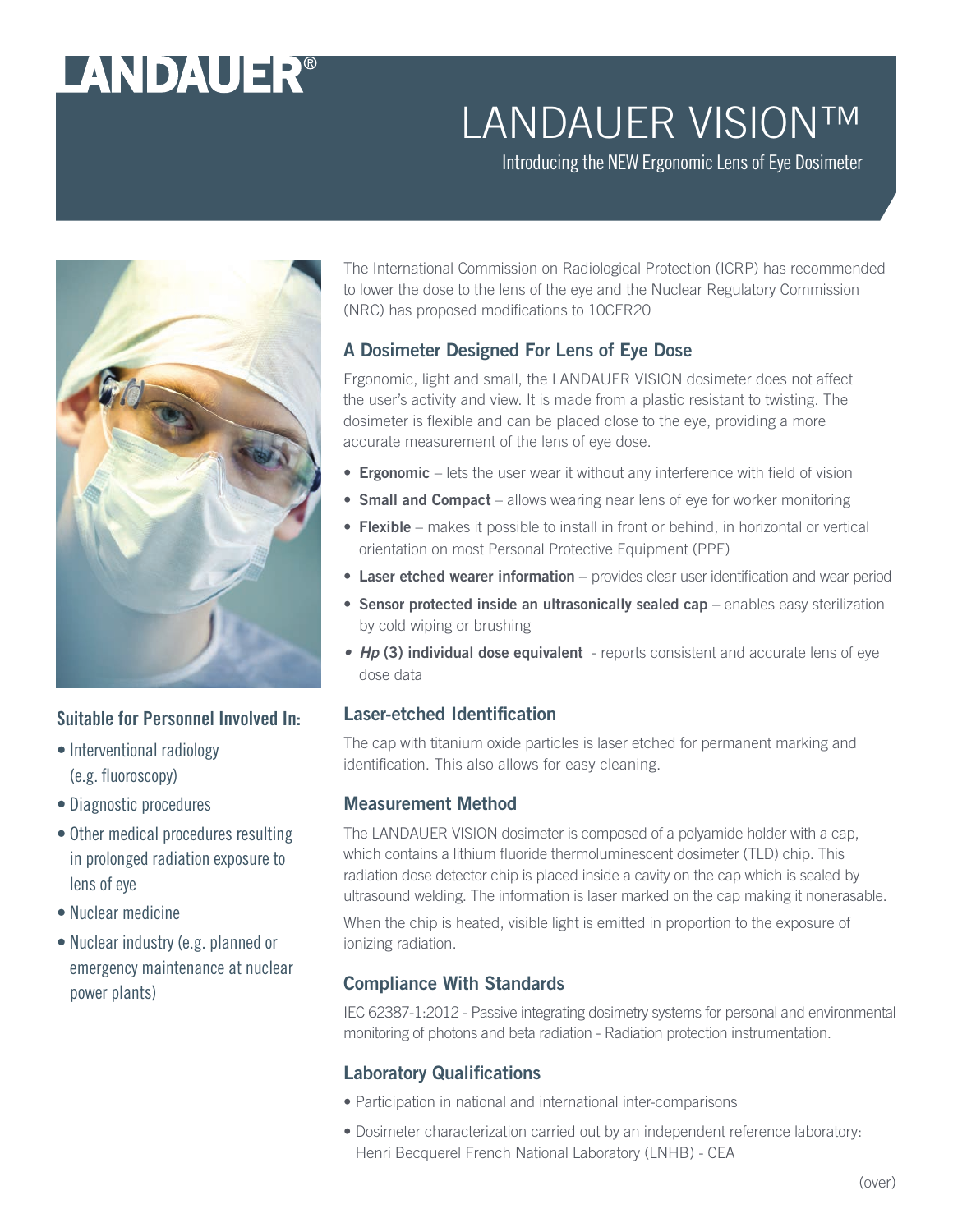# LANDAUER®

## LANDAUER VISION™

Introducing the NEW Ergonomic Lens of Eye Dosimeter



#### Suitable for Personnel Involved In:

- Interventional radiology (e.g. fluoroscopy)
- Diagnostic procedures
- Other medical procedures resulting in prolonged radiation exposure to lens of eye
- Nuclear medicine
- Nuclear industry (e.g. planned or emergency maintenance at nuclear power plants)

The International Commission on Radiological Protection (ICRP) has recommended to lower the dose to the lens of the eye and the Nuclear Regulatory Commission (NRC) has proposed modifications to 10CFR20

#### A Dosimeter Designed For Lens of Eye Dose

Ergonomic, light and small, the LANDAUER VISION dosimeter does not affect the user's activity and view. It is made from a plastic resistant to twisting. The dosimeter is flexible and can be placed close to the eye, providing a more accurate measurement of the lens of eye dose.

- Ergonomic lets the user wear it without any interference with field of vision
- Small and Compact allows wearing near lens of eye for worker monitoring
- Flexible makes it possible to install in front or behind, in horizontal or vertical orientation on most Personal Protective Equipment (PPE)
- Laser etched wearer information provides clear user identification and wear period
- Sensor protected inside an ultrasonically sealed cap enables easy sterilization by cold wiping or brushing
- *Hp* (3) individual dose equivalent reports consistent and accurate lens of eye dose data

#### Laser-etched Identification

The cap with titanium oxide particles is laser etched for permanent marking and identification. This also allows for easy cleaning.

#### Measurement Method

The LANDAUER VISION dosimeter is composed of a polyamide holder with a cap, which contains a lithium fluoride thermoluminescent dosimeter (TLD) chip. This radiation dose detector chip is placed inside a cavity on the cap which is sealed by ultrasound welding. The information is laser marked on the cap making it nonerasable.

When the chip is heated, visible light is emitted in proportion to the exposure of ionizing radiation.

#### Compliance With Standards

IEC 62387-1:2012 - Passive integrating dosimetry systems for personal and environmental monitoring of photons and beta radiation - Radiation protection instrumentation.

#### Laboratory Qualifications

- Participation in national and international inter-comparisons
- Dosimeter characterization carried out by an independent reference laboratory: Henri Becquerel French National Laboratory (LNHB) - CEA